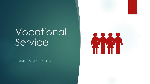# Vocational Service

DISTRICT ASSEMBLY 2019

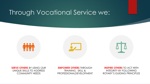# Through Vocational Service we:



**SERVE OTHERS** BY USING OUR UNIQUE SKILLS TO ADDRESS COMMUNITY NEEDS

**EMPOWER OTHERS** THROUGH

TRAINING, SKILL & PROFESSIONALDEVELOPMENT

**INSPIRE OTHERS** TO ACT WITH INTEGRITY BY FOLLOWING ROTARY'S GUIDING PRINCIPLES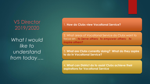VS Director 2019/2020

*What I would like to understand from today….* 1. **How do Clubs view Vocational Service?** 

2. What areas of Vocational Service do Clubs want to focus on - *to Serve others; to empower others; to inspire others?*

3. **What are Clubs currently doing? What do they aspire to do in Vocational Service?**

4. **What can District do to assist Clubs achieve their aspirations for Vocational Service**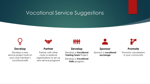## Vocational Service Suggestions



## **Develop**

Develop a new service project built on your club member's vocational skills



## **Partner**

Partner with other clubs or external organisations to set up new service programs

## **Develop**

Develop a **Vocational Training Team** Project

Develop a **Vocational Visits** program,



**Sponsor** Sponsor a **vocational exchange**

**Promote**

Promote volunteerism in your community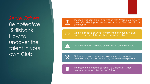*Be collective*  (Skillsbank) How to uncover the talent in your own Club





The idea was born out of a frustration that "there are unknown knowns" and untapped resources across our District and in our communities

**THEY** 

We are not good at uncovering the talent in our own clubs and even worse at sharing them between clubs



We are too often unaware of work being done by others



Online tools exist for connecting communities within and outside Rotary and for connecting volunteers with projects

The best we have found so far is "Be Collective" which is currently being used by Central Melbourne.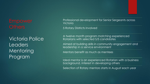Victoria Police **Leaders Mentoring** Program

Professional development for Senior Sergeants across Victoria

5 Rotary Districts involved

A twelve month program matching experienced Rotarians with selected S/S candidates

Aimed at building skills in community engagement and leadership in a service environment

Mentors benefit as much as mentees

Ideal mentor is an experienced Rotarian with a business background, interest in developing others

Selection of Rotary mentors starts in August each year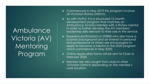Ambulance Victoria (AV) Mentoring Program

- Commenced in May 2019 this program involves all Victorian Rotary Districts.
- As with VicPol, it is a structured 12 month development program that matches an Ambulance Victoria mentee with a Rotary mentor in order to further develop the AV members' leadership skills relevant to their role in the service.
- Experienced Rotarians in D9800 who also have a business background and an interest in personal and professional of others are encouraged to apply to become a mentor in the 2020 program which commences in May 2020.
- Online application forms will be sent to Clubs in February 2020.
- Mentors are also sought from clubs in other Victorian Districts depending on the mentee's work location.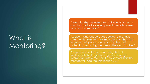# What is Mentoring?

"a relationship between two individuals based on a mutual desire for development towards career goals and objectives"

"supports and encourages people to manage their own learning so they may develop their skills, improve their performance and realise their potential, becoming the person they want to be."

"emphasis is on the personal insights and intellectual challenge to be gained through interaction with a mentor. It is expected that the mentee will lead the relationship........"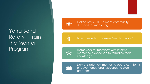## Yarra Bend Rotary – Train the Mentor Program

**THE** 

儒

Kicked off in 2011 to meet community demand for mentoring

To ensure Rotarians were "mentor ready"



Framework for members with informal mentoring experience to formalise their knowledge

Demonstrate how mentoring operates in terms of governance and relevance to club programs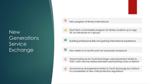New **Generations** Service<sup>1</sup> Exchange

New program of Rotary International

Short term customizable program for tertiary students up to age 30, as individuals or in groups

Building professional skills and gaining international experience

疆 Few weeks to 6 months and not necessarily reciprocal

 $\overline{B}$ Home hosting as for Youth Exchange, work placement similar to GVE, costs may be shared between participating clubs or districts

Governance arrangements similar to Youth Exchange but without  $\sqrt{10}$ to complexities of new child protection regulations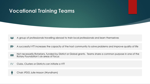## **Vocational Training Teams**

A group of professionals travelling abroad to train local professionals and learn themselves **Age** 

- 炒 A successful VTT increases the capacity of the host community to solve problems and improve quality of life
- Not necessarily Rotarians, funded by District or Global grants. Teams share a common purpose in one of the **irimi** Rotary Foundation's six areas of focus
- $\frac{1}{2}$ Clubs, Clusters or Districts can initiate a VTT

Chair; IPDG Julie Mason (Wyndham) $\mathbf{\Psi}$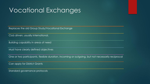# Vocational Exchanges

Replaces the old Group Study/Vocational Exchange

Club driven, usually international,

Building capability in areas of need

Must have clearly defined objectives

One or two participants, flexible duration, incoming or outgoing, but not necessarily reciprocal

Can apply for District Grants

Standard governance protocols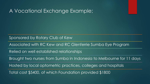## A Vocational Exchange Example;

Sponsored by Rotary Club of Kew

Associated with RC Kew and RC Glenferrie Sumba Eye Program

Relied on well established relationships

Brought two nurses from Sumba in Indonesia to Melbourne for 11 days

Hosted by local optometric practices, colleges and hospitals

Total cost \$5400, of which Foundation provided \$1800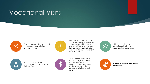# Vocational Visits



Provide meaningful vocational experiences for participants in a flexible format.



Typically organised by clubs, Vocational visits are developed in conjunction with an overseas club or district, have a clearly defined service objective in one of the Rotary Foundation's areas of focus.



Visits may be incoming, outgoing or both in a reciprocal arrangement.



Such visits may lay the groundwork for a Vocational Training Team.



District provides support in appropriate governance standards and Rotary Foundation grants may be available to complying programs to help defray the costs.



**Contact – Alan Seale (Central Melbourne)**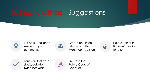# To Inspire Others - Suggestions



Business Excellence Awards in your community



Create an Ethical Dilemma of the Month competition



Hold a "Ethics in Business" breakfast function



Four way test case study/debate twice per year



Promote the Rotary Code of **Conduct**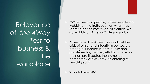Relevance of *the 4Way Test* to business & the workplace

 "When we as a people, a free people, go wobbly on the truth, even on what may seem to be the most trivial of matters, we go wobbly on America" Tillerson said. •

 "If we do not as Americans confront the crisis of ethics and integrity in our society among our leaders in both public and private sector, and regrettably at times in the non-profit sector, then American democracy as we know it is entering its twilight years"

Sounds familiar??